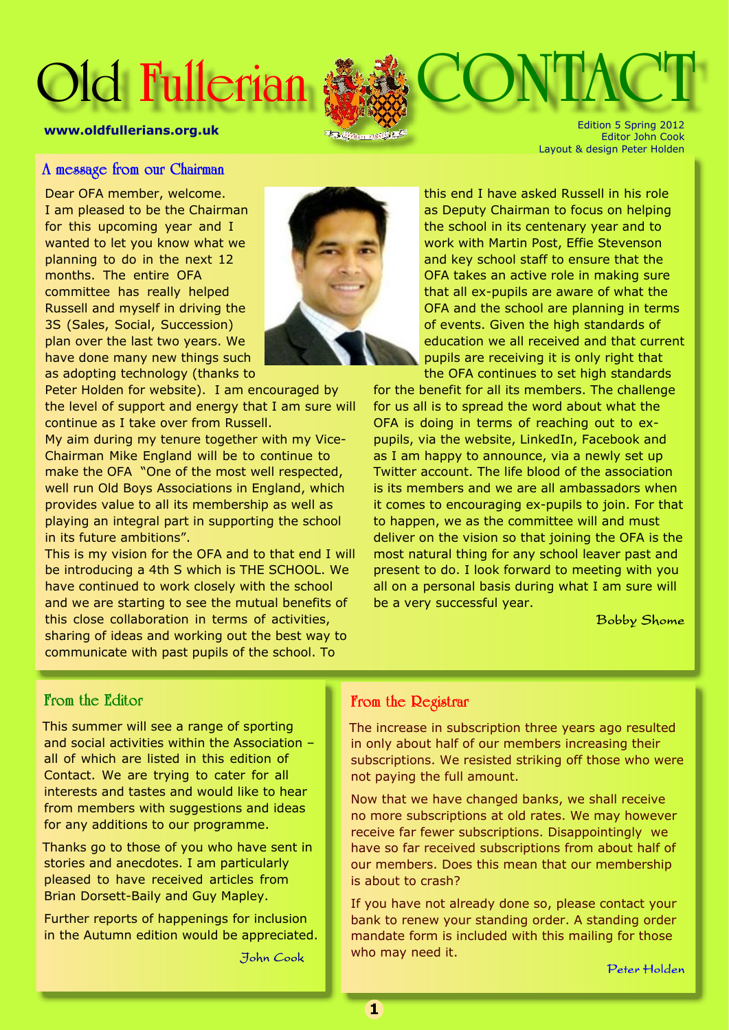# **Old Fullerian <b>ALL**



Edition 5 Spring 2012 Editor John Cook Layout & design Peter Holden

#### A message from our Chairman

Dear OFA member, welcome. I am pleased to be the Chairman for this upcoming year and I wanted to let you know what we planning to do in the next 12 months. The entire OFA committee has really helped Russell and myself in driving the 3S (Sales, Social, Succession) plan over the last two years. We have done many new things such as adopting technology (thanks to

Peter Holden for website). I am encouraged by the level of support and energy that I am sure will continue as I take over from Russell.

My aim during my tenure together with my Vice-Chairman Mike England will be to continue to make the OFA "One of the most well respected, well run Old Boys Associations in England, which provides value to all its membership as well as playing an integral part in supporting the school in its future ambitions".

This is my vision for the OFA and to that end I will be introducing a 4th S which is THE SCHOOL. We have continued to work closely with the school and we are starting to see the mutual benefits of this close collaboration in terms of activities, sharing of ideas and working out the best way to communicate with past pupils of the school. To



this end I have asked Russell in his role as Deputy Chairman to focus on helping the school in its centenary year and to work with Martin Post, Effie Stevenson and key school staff to ensure that the OFA takes an active role in making sure that all ex-pupils are aware of what the OFA and the school are planning in terms of events. Given the high standards of education we all received and that current pupils are receiving it is only right that the OFA continues to set high standards

for the benefit for all its members. The challenge for us all is to spread the word about what the OFA is doing in terms of reaching out to expupils, via the website, LinkedIn, Facebook and as I am happy to announce, via a newly set up Twitter account. The life blood of the association is its members and we are all ambassadors when it comes to encouraging ex-pupils to join. For that to happen, we as the committee will and must deliver on the vision so that joining the OFA is the most natural thing for any school leaver past and present to do. I look forward to meeting with you all on a personal basis during what I am sure will be a very successful year.

**Bobby Shome** 

## From the Editor

This summer will see a range of sporting and social activities within the Association – all of which are listed in this edition of Contact. We are trying to cater for all interests and tastes and would like to hear from members with suggestions and ideas for any additions to our programme.

Thanks go to those of you who have sent in stories and anecdotes. I am particularly pleased to have received articles from Brian Dorsett-Baily and Guy Mapley.

Further reports of happenings for inclusion in the Autumn edition would be appreciated.

John Cook

#### From the Registrar

The increase in subscription three years ago resulted in only about half of our members increasing their subscriptions. We resisted striking off those who were not paying the full amount.

Now that we have changed banks, we shall receive no more subscriptions at old rates. We may however receive far fewer subscriptions. Disappointingly we have so far received subscriptions from about half of our members. Does this mean that our membership is about to crash?

If you have not already done so, please contact your bank to renew your standing order. A standing order mandate form is included with this mailing for those who may need it.

Peter Holden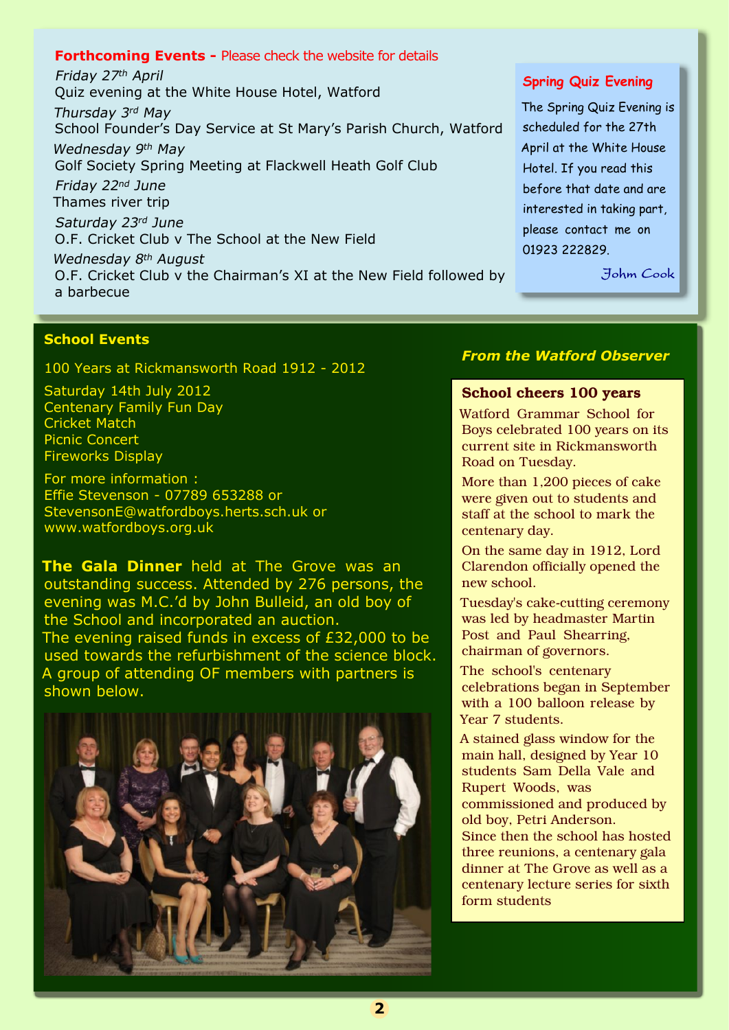#### **Forthcoming Events -** Please check the website for details

Friday 27th April Quiz evening at the White House Hotel, Watford Thursday 3rd May School Founder's Day Service at St Mary's Parish Church, Watford Wednesday 9th May Golf Society Spring Meeting at Flackwell Heath Golf Club Friday 22nd June Thames river trip Saturday 23rd June O.F. Cricket Club v The School at the New Field Wednesday 8<sup>th</sup> August O.F. Cricket Club v the Chairman's XI at the New Field followed by a barbecue

#### **School Events**

100 Years at Rickmansworth Road 1912 - 2012

Saturday 14th July 2012 Centenary Family Fun Day Cricket Match Picnic Concert Fireworks Display

For more information : Effie Stevenson - 07789 653288 or StevensonE@watfordboys.herts.sch.uk or www.watfordboys.org.uk

**The Gala Dinner** held at The Grove was an outstanding success. Attended by 276 persons, the evening was M.C.'d by John Bulleid, an old boy of the School and incorporated an auction. The evening raised funds in excess of £32,000 to be used towards the refurbishment of the science block. A group of attending OF members with partners is shown below.



#### **Spring Quiz Evening**

The Spring Quiz Evening is scheduled for the 27th April at the White House Hotel. If you read this before that date and are interested in taking part, please contact me on 01923 222829.

Johm Cook

## *From the Watford Observer*

#### **School cheers 100 years**

Watford Grammar School for Boys celebrated 100 years on its current site in Rickmansworth Road on Tuesday.

More than 1,200 pieces of cake were given out to students and staff at the school to mark the centenary day.

On the same day in 1912, Lord Clarendon officially opened the new school.

Tuesday's cake-cutting ceremony was led by headmaster Martin Post and Paul Shearring, chairman of governors.

The school's centenary celebrations began in September with a 100 balloon release by Year 7 students.

A stained glass window for the main hall, designed by Year 10 students Sam Della Vale and Rupert Woods, was commissioned and produced by old boy, Petri Anderson. Since then the school has hosted three reunions, a centenary gala dinner at The Grove as well as a centenary lecture series for sixth form students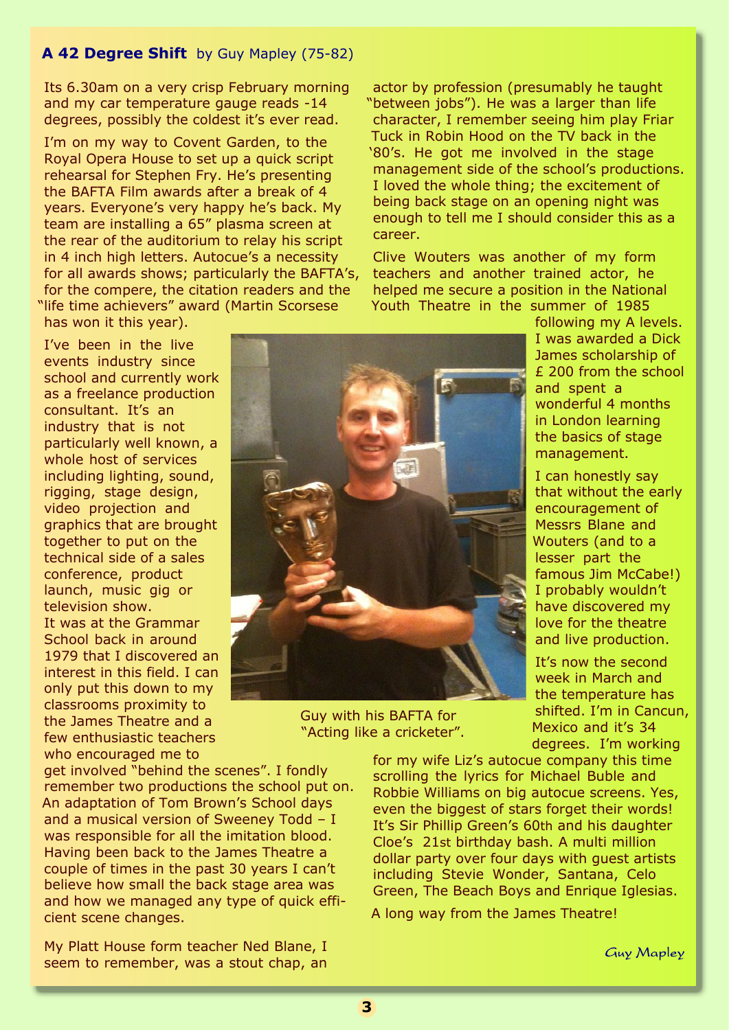## **A 42 Degree Shift** by Guy Mapley (75-82)

Its 6.30am on a very crisp February morning and my car temperature gauge reads -14 degrees, possibly the coldest it's ever read.

I'm on my way to Covent Garden, to the Royal Opera House to set up a quick script rehearsal for Stephen Fry. He's presenting the BAFTA Film awards after a break of 4 years. Everyone's very happy he's back. My team are installing a 65" plasma screen at the rear of the auditorium to relay his script in 4 inch high letters. Autocue's a necessity for all awards shows; particularly the BAFTA's, for the compere, the citation readers and the "life time achievers" award (Martin Scorsese has won it this year).

I've been in the live events industry since school and currently work as a freelance production consultant. It's an industry that is not particularly well known, a whole host of services including lighting, sound, rigging, stage design, video projection and graphics that are brought together to put on the technical side of a sales conference, product launch, music gig or television show. It was at the Grammar School back in around 1979 that I discovered an interest in this field. I can only put this down to my classrooms proximity to the James Theatre and a few enthusiastic teachers who encouraged me to

get involved "behind the scenes". I fondly remember two productions the school put on. An adaptation of Tom Brown's School days and a musical version of Sweeney Todd – I was responsible for all the imitation blood. Having been back to the James Theatre a couple of times in the past 30 years I can't believe how small the back stage area was and how we managed any type of quick efficient scene changes.

My Platt House form teacher Ned Blane, I seem to remember, was a stout chap, an

actor by profession (presumably he taught "between jobs"). He was a larger than life character, I remember seeing him play Friar Tuck in Robin Hood on the TV back in the '80's. He got me involved in the stage management side of the school's productions. I loved the whole thing; the excitement of being back stage on an opening night was enough to tell me I should consider this as a career.

Clive Wouters was another of my form teachers and another trained actor, he helped me secure a position in the National Youth Theatre in the summer of 1985



Guy with his BAFTA for "Acting like a cricketer".

following my A levels. I was awarded a Dick James scholarship of £ 200 from the school and spent a wonderful 4 months in London learning the basics of stage management.

I can honestly say that without the early encouragement of Messrs Blane and Wouters (and to a lesser part the famous Jim McCabe!) I probably wouldn't have discovered my love for the theatre and live production.

It's now the second week in March and the temperature has shifted. I'm in Cancun, Mexico and it's 34 degrees. I'm working

for my wife Liz's autocue company this time scrolling the lyrics for Michael Buble and Robbie Williams on big autocue screens. Yes, even the biggest of stars forget their words! It's Sir Phillip Green's 60th and his daughter Cloe's 21st birthday bash. A multi million dollar party over four days with guest artists including Stevie Wonder, Santana, Celo Green, The Beach Boys and Enrique Iglesias.

A long way from the James Theatre!

Guy Mapley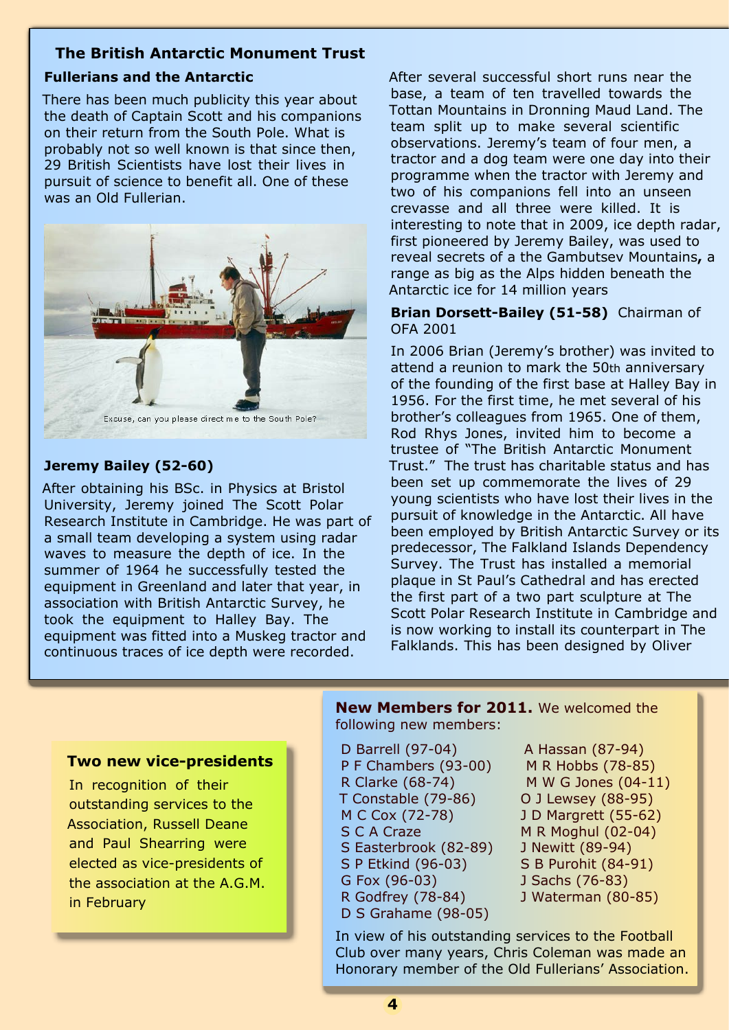## **The British Antarctic Monument Trust**

# **Fullerians and the Antarctic**

There has been much publicity this year about the death of Captain Scott and his companions on their return from the South Pole. What is probably not so well known is that since then, 29 British Scientists have lost their lives in pursuit of science to benefit all. One of these was an Old Fullerian.



Excuse, can you please direct me to the South Pole?

# **Jeremy Bailey (52-60)**

After obtaining his BSc. in Physics at Bristol University, Jeremy joined The Scott Polar Research Institute in Cambridge. He was part of a small team developing a system using radar waves to measure the depth of ice. In the summer of 1964 he successfully tested the equipment in Greenland and later that year, in association with British Antarctic Survey, he took the equipment to Halley Bay. The equipment was fitted into a Muskeg tractor and continuous traces of ice depth were recorded.

After several successful short runs near the base, a team of ten travelled towards the Tottan Mountains in Dronning Maud Land. The team split up to make several scientific observations. Jeremy's team of four men, a tractor and a dog team were one day into their programme when the tractor with Jeremy and two of his companions fell into an unseen crevasse and all three were killed. It is interesting to note that in 2009, ice depth radar, first pioneered by Jeremy Bailey, was used to reveal secrets of a the Gambutsev Mountains**,** a range as big as the Alps hidden beneath the Antarctic ice for 14 million years

## **Brian Dorsett-Bailey (51-58)** Chairman of OFA 2001

In 2006 Brian (Jeremy's brother) was invited to attend a reunion to mark the 50th anniversary of the founding of the first base at Halley Bay in 1956. For the first time, he met several of his brother's colleagues from 1965. One of them, Rod Rhys Jones, invited him to become a trustee of "The British Antarctic Monument Trust." The trust has charitable status and has been set up commemorate the lives of 29 young scientists who have lost their lives in the pursuit of knowledge in the Antarctic. All have been employed by British Antarctic Survey or its predecessor, The Falkland Islands Dependency Survey. The Trust has installed a memorial plaque in St Paul's Cathedral and has erected the first part of a two part sculpture at The Scott Polar Research Institute in Cambridge and is now working to install its counterpart in The Falklands. This has been designed by Oliver

## **Two new vice-presidents**

In recognition of their outstanding services to the Association, Russell Deane and Paul Shearring were elected as vice-presidents of the association at the A.G.M. in February

#### **New Members for 2011.** We welcomed the following new members:

- D Barrell (97-04)
- P F Chambers (93-00)
- R Clarke (68-74)
- T Constable (79-86)
- M C Cox (72-78) S C A Craze
- 
- S Easterbrook (82-89) S P Etkind (96-03)
- G Fox (96-03)
- R Godfrey (78-84)
- D S Grahame (98-05)
- A Hassan (87-94) M R Hobbs (78-85) M W G Jones (04-11) O J Lewsey (88-95) J D Margrett (55-62) M R Moghul (02-04) J Newitt (89-94) S B Purohit (84-91) J Sachs (76-83) J Waterman (80-85)

In view of his outstanding services to the Football Club over many years, Chris Coleman was made an Honorary member of the Old Fullerians' Association.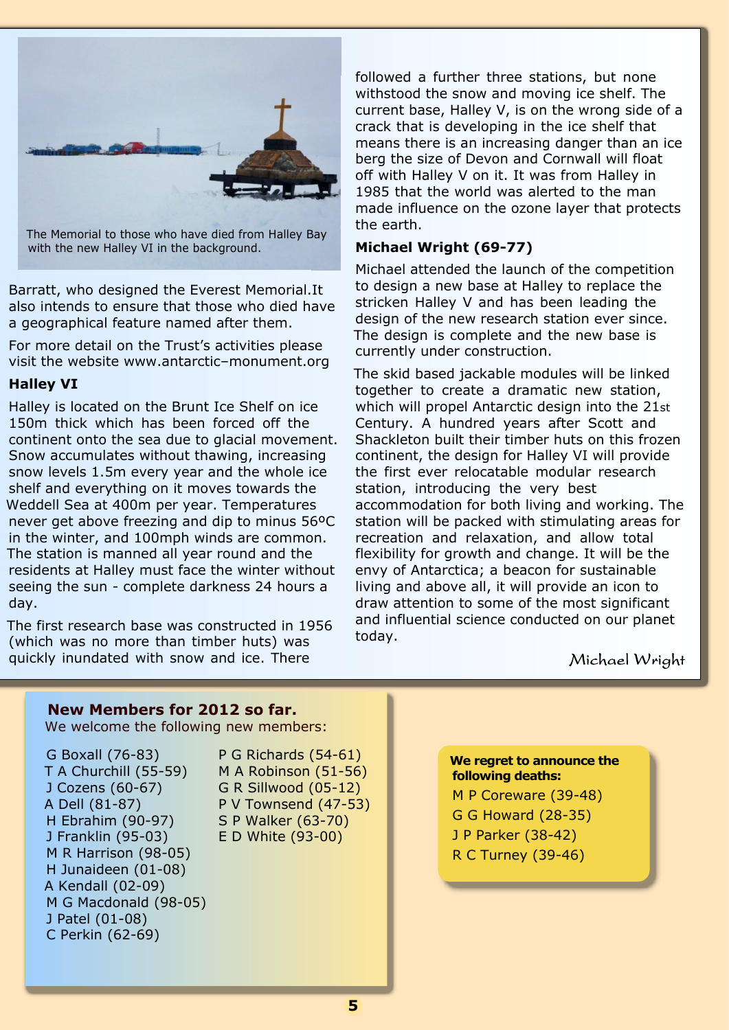

The Memorial to those who have died from Halley Bay with the new Halley VI in the background.

Barratt, who designed the Everest Memorial.It also intends to ensure that those who died have a geographical feature named after them.

For more detail on the Trust's activities please visit the website www.antarctic–monument.org

### **Halley VI**

Halley is located on the Brunt Ice Shelf on ice 150m thick which has been forced off the continent onto the sea due to glacial movement. Snow accumulates without thawing, increasing snow levels 1.5m every year and the whole ice shelf and everything on it moves towards the Weddell Sea at 400m per year. Temperatures never get above freezing and dip to minus 56ºC in the winter, and 100mph winds are common. The station is manned all year round and the residents at Halley must face the winter without seeing the sun - complete darkness 24 hours a day.

The first research base was constructed in 1956 (which was no more than timber huts) was quickly inundated with snow and ice. There

followed a further three stations, but none withstood the snow and moving ice shelf. The current base, Halley V, is on the wrong side of a crack that is developing in the ice shelf that means there is an increasing danger than an ice berg the size of Devon and Cornwall will float off with Halley V on it. It was from Halley in 1985 that the world was alerted to the man made influence on the ozone layer that protects the earth.

#### **Michael Wright (69-77)**

Michael attended the launch of the competition to design a new base at Halley to replace the stricken Halley V and has been leading the design of the new research station ever since. The design is complete and the new base is currently under construction.

The skid based jackable modules will be linked together to create a dramatic new station, which will propel Antarctic design into the 21st Century. A hundred years after Scott and Shackleton built their timber huts on this frozen continent, the design for Halley VI will provide the first ever relocatable modular research station, introducing the very best accommodation for both living and working. The station will be packed with stimulating areas for recreation and relaxation, and allow total flexibility for growth and change. It will be the envy of Antarctica; a beacon for sustainable living and above all, it will provide an icon to draw attention to some of the most significant and influential science conducted on our planet today.

Michael Wright

## **New Members for 2012 so far.**

We welcome the following new members:

G Boxall (76-83) T A Churchill (55-59) J Cozens (60-67) A Dell (81-87) H Ebrahim (90-97) J Franklin (95-03) M R Harrison (98-05) H Junaideen (01-08) A Kendall (02-09) M G Macdonald (98-05) J Patel (01-08) C Perkin (62-69)

P G Richards (54-61) M A Robinson (51-56) G R Sillwood (05-12) P V Townsend (47-53) S P Walker (63-70) E D White (93-00)

**We regret to announce the following deaths:** M P Coreware (39-48) G G Howard (28-35) J P Parker (38-42)

R C Turney (39-46)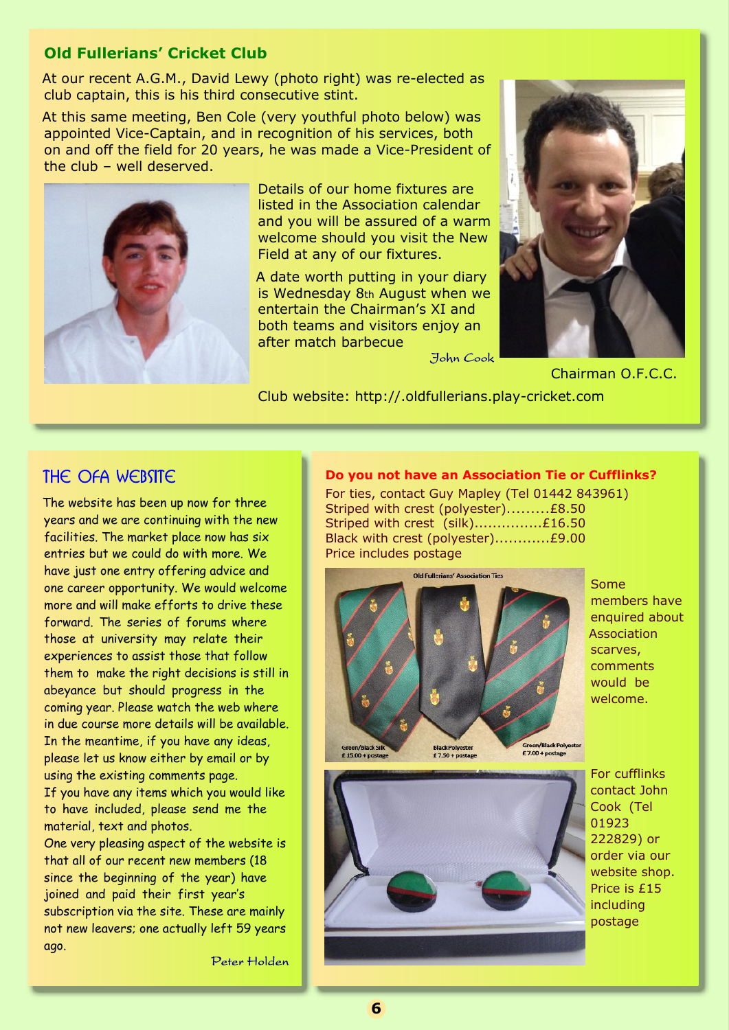## **Old Fullerians' Cricket Club**

At our recent A.G.M., David Lewy (photo right) was re-elected as club captain, this is his third consecutive stint.

At this same meeting, Ben Cole (very youthful photo below) was appointed Vice-Captain, and in recognition of his services, both on and off the field for 20 years, he was made a Vice-President of the club – well deserved.



Details of our home fixtures are listed in the Association calendar and you will be assured of a warm welcome should you visit the New Field at any of our fixtures.

A date worth putting in your diary is Wednesday 8th August when we entertain the Chairman's XI and both teams and visitors enjoy an after match barbecue



Chairman O.F.C.C.

Club website: http://.oldfullerians.play-cricket.com

# THE OFA WEBSITE

The website has been up now for three years and we are continuing with the new facilities. The market place now has six entries but we could do with more. We have just one entry offering advice and one career opportunity. We would welcome more and will make efforts to drive these forward. The series of forums where those at university may relate their experiences to assist those that follow them to make the right decisions is still in abeyance but should progress in the coming year. Please watch the web where in due course more details will be available. In the meantime, if you have any ideas, please let us know either by email or by using the existing comments page. If you have any items which you would like to have included, please send me the material, text and photos.

One very pleasing aspect of the website is that all of our recent new members (18 since the beginning of the year) have joined and paid their first year's subscription via the site. These are mainly not new leavers; one actually left 59 years ago.

Peter Holden

#### **Do you not have an Association Tie or Cufflinks?**

For ties, contact Guy Mapley (Tel 01442 843961) Striped with crest (polyester).........£8.50 Striped with crest (silk)................£16.50 Black with crest (polyester)............£9.00 Price includes postage



Some members have enquired about Association scarves, comments would be welcome.



For cufflinks contact John Cook (Tel 01923 222829) or order via our website shop. Price is £15 including postage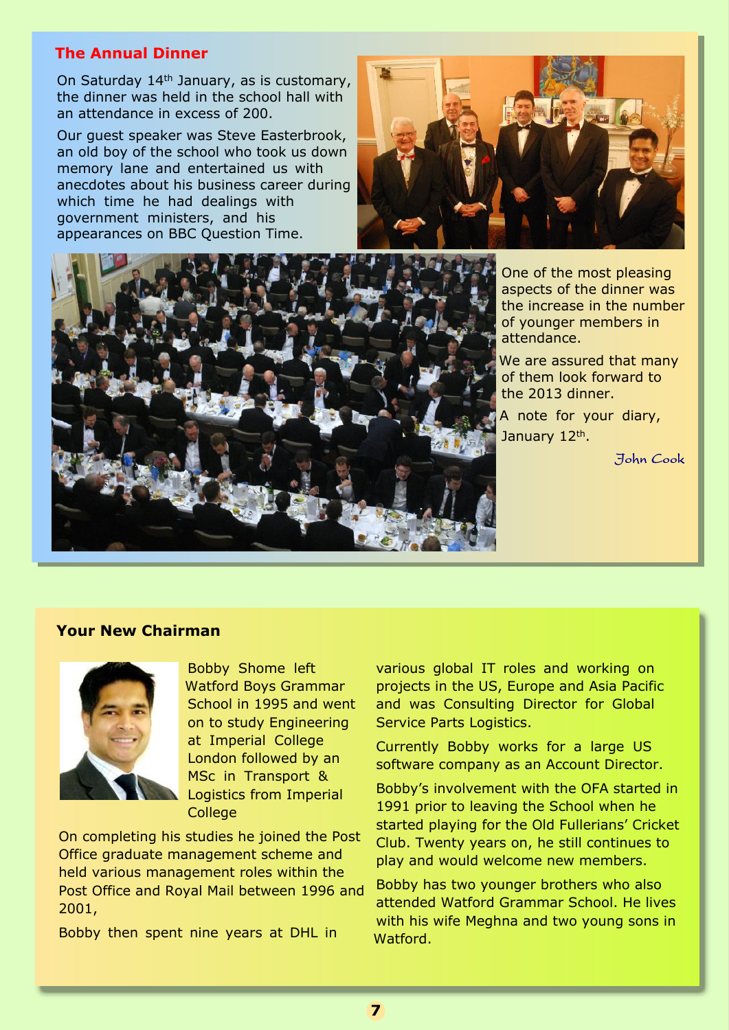## **The Annual Dinner**

On Saturday 14th January, as is customary, the dinner was held in the school hall with an attendance in excess of 200.

Our guest speaker was Steve Easterbrook, an old boy of the school who took us down memory lane and entertained us with anecdotes about his business career during which time he had dealings with government ministers, and his appearances on BBC Question Time.





One of the most pleasing aspects of the dinner was the increase in the number of younger members in attendance.

We are assured that many of them look forward to the 2013 dinner.

A note for your diary, January 12<sup>th</sup>.

John Cook

#### **Your New Chairman**



Bobby Shome left Watford Boys Grammar School in 1995 and went on to study Engineering at Imperial College London followed by an MSc in Transport & Logistics from Imperial College

On completing his studies he joined the Post Office graduate management scheme and held various management roles within the Post Office and Royal Mail between 1996 and 2001,

Bobby then spent nine years at DHL in

various global IT roles and working on projects in the US, Europe and Asia Pacific and was Consulting Director for Global Service Parts Logistics.

Currently Bobby works for a large US software company as an Account Director.

Bobby's involvement with the OFA started in 1991 prior to leaving the School when he started playing for the Old Fullerians' Cricket Club. Twenty years on, he still continues to play and would welcome new members.

Bobby has two younger brothers who also attended Watford Grammar School. He lives with his wife Meghna and two young sons in Watford.